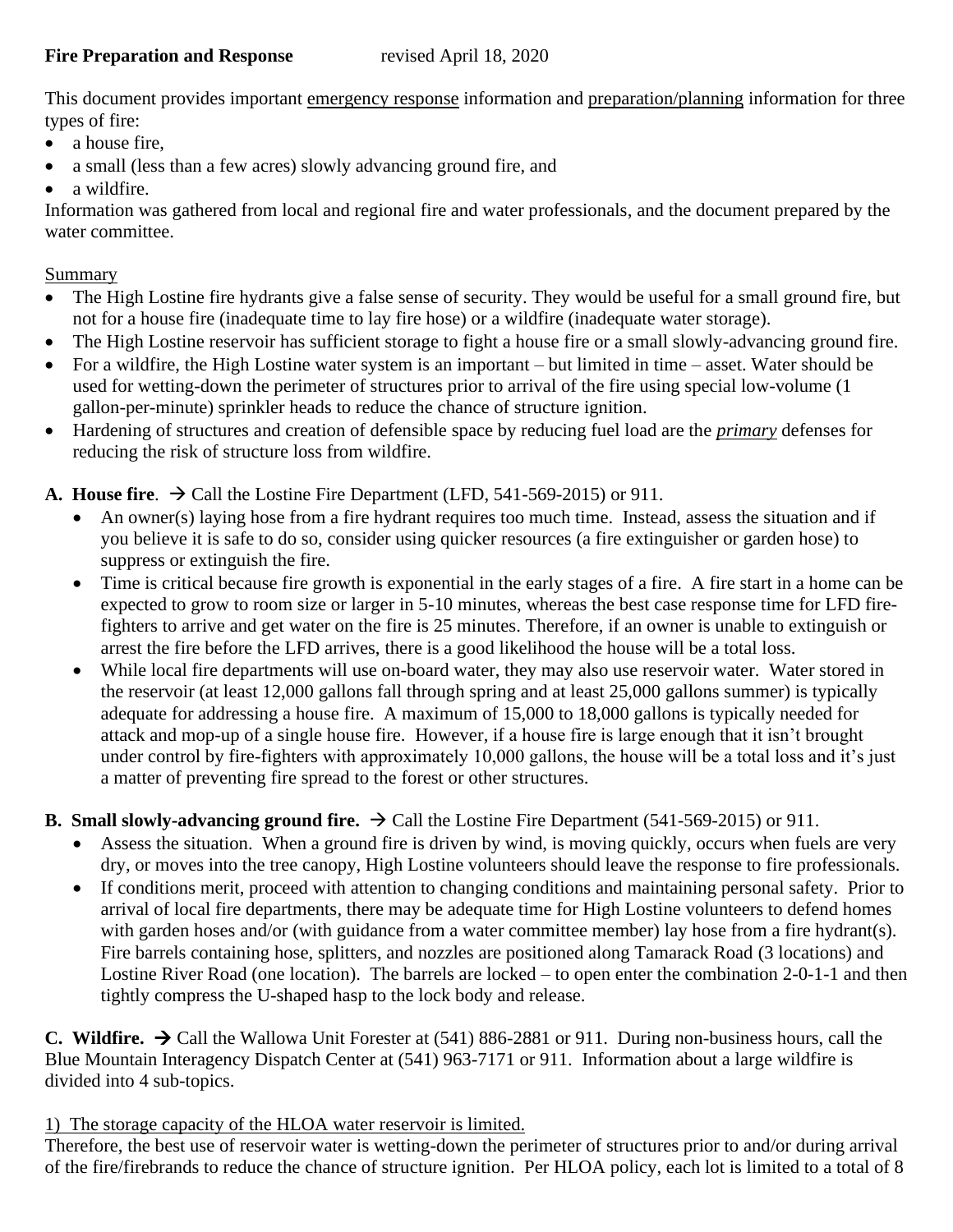### **Fire Preparation and Response** revised April 18, 2020

This document provides important emergency response information and preparation/planning information for three types of fire:

- a house fire,
- a small (less than a few acres) slowly advancing ground fire, and
- a wildfire.

Information was gathered from local and regional fire and water professionals, and the document prepared by the water committee.

## Summary

- The High Lostine fire hydrants give a false sense of security. They would be useful for a small ground fire, but not for a house fire (inadequate time to lay fire hose) or a wildfire (inadequate water storage).
- The High Lostine reservoir has sufficient storage to fight a house fire or a small slowly-advancing ground fire.
- For a wildfire, the High Lostine water system is an important but limited in time asset. Water should be used for wetting-down the perimeter of structures prior to arrival of the fire using special low-volume (1 gallon-per-minute) sprinkler heads to reduce the chance of structure ignition.
- Hardening of structures and creation of defensible space by reducing fuel load are the *primary* defenses for reducing the risk of structure loss from wildfire.

# **A. House fire.**  $\rightarrow$  Call the Lostine Fire Department (LFD, 541-569-2015) or 911.

- An owner(s) laying hose from a fire hydrant requires too much time. Instead, assess the situation and if you believe it is safe to do so, consider using quicker resources (a fire extinguisher or garden hose) to suppress or extinguish the fire.
- Time is critical because fire growth is exponential in the early stages of a fire. A fire start in a home can be expected to grow to room size or larger in 5-10 minutes, whereas the best case response time for LFD firefighters to arrive and get water on the fire is 25 minutes. Therefore, if an owner is unable to extinguish or arrest the fire before the LFD arrives, there is a good likelihood the house will be a total loss.
- While local fire departments will use on-board water, they may also use reservoir water. Water stored in the reservoir (at least 12,000 gallons fall through spring and at least 25,000 gallons summer) is typically adequate for addressing a house fire. A maximum of 15,000 to 18,000 gallons is typically needed for attack and mop-up of a single house fire. However, if a house fire is large enough that it isn't brought under control by fire-fighters with approximately 10,000 gallons, the house will be a total loss and it's just a matter of preventing fire spread to the forest or other structures.

## **B. Small slowly-advancing ground fire.**  $\rightarrow$  Call the Lostine Fire Department (541-569-2015) or 911.

- Assess the situation. When a ground fire is driven by wind, is moving quickly, occurs when fuels are very dry, or moves into the tree canopy, High Lostine volunteers should leave the response to fire professionals.
- If conditions merit, proceed with attention to changing conditions and maintaining personal safety. Prior to arrival of local fire departments, there may be adequate time for High Lostine volunteers to defend homes with garden hoses and/or (with guidance from a water committee member) lay hose from a fire hydrant(s). Fire barrels containing hose, splitters, and nozzles are positioned along Tamarack Road (3 locations) and Lostine River Road (one location). The barrels are locked – to open enter the combination 2-0-1-1 and then tightly compress the U-shaped hasp to the lock body and release.

**C. Wildfire.** → Call the Wallowa Unit Forester at (541) 886-2881 or 911. During non-business hours, call the Blue Mountain Interagency Dispatch Center at (541) 963-7171 or 911. Information about a large wildfire is divided into 4 sub-topics.

## 1) The storage capacity of the HLOA water reservoir is limited.

Therefore, the best use of reservoir water is wetting-down the perimeter of structures prior to and/or during arrival of the fire/firebrands to reduce the chance of structure ignition. Per HLOA policy, each lot is limited to a total of 8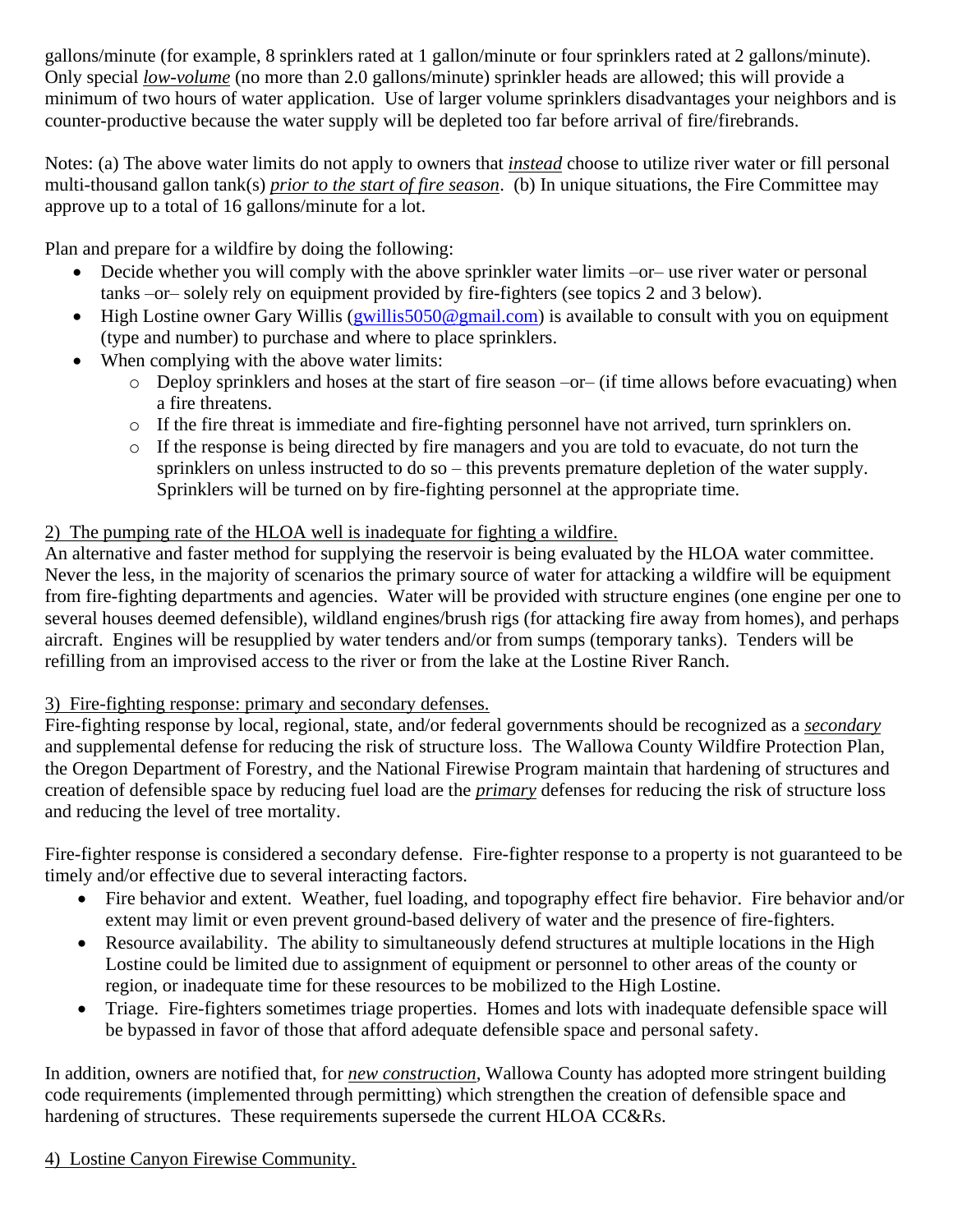gallons/minute (for example, 8 sprinklers rated at 1 gallon/minute or four sprinklers rated at 2 gallons/minute). Only special *low-volume* (no more than 2.0 gallons/minute) sprinkler heads are allowed; this will provide a minimum of two hours of water application. Use of larger volume sprinklers disadvantages your neighbors and is counter-productive because the water supply will be depleted too far before arrival of fire/firebrands.

Notes: (a) The above water limits do not apply to owners that *instead* choose to utilize river water or fill personal multi-thousand gallon tank(s) *prior to the start of fire season*. (b) In unique situations, the Fire Committee may approve up to a total of 16 gallons/minute for a lot.

Plan and prepare for a wildfire by doing the following:

- Decide whether you will comply with the above sprinkler water limits –or– use river water or personal tanks –or– solely rely on equipment provided by fire-fighters (see topics 2 and 3 below).
- High Lostine owner Gary Willis (gwillis  $5050$ @gmail.com) is available to consult with you on equipment (type and number) to purchase and where to place sprinklers.
- When complying with the above water limits:
	- o Deploy sprinklers and hoses at the start of fire season –or– (if time allows before evacuating) when a fire threatens.
	- o If the fire threat is immediate and fire-fighting personnel have not arrived, turn sprinklers on.
	- o If the response is being directed by fire managers and you are told to evacuate, do not turn the sprinklers on unless instructed to do so – this prevents premature depletion of the water supply. Sprinklers will be turned on by fire-fighting personnel at the appropriate time.

# 2) The pumping rate of the HLOA well is inadequate for fighting a wildfire.

An alternative and faster method for supplying the reservoir is being evaluated by the HLOA water committee. Never the less, in the majority of scenarios the primary source of water for attacking a wildfire will be equipment from fire-fighting departments and agencies. Water will be provided with structure engines (one engine per one to several houses deemed defensible), wildland engines/brush rigs (for attacking fire away from homes), and perhaps aircraft. Engines will be resupplied by water tenders and/or from sumps (temporary tanks). Tenders will be refilling from an improvised access to the river or from the lake at the Lostine River Ranch.

# 3) Fire-fighting response: primary and secondary defenses.

Fire-fighting response by local, regional, state, and/or federal governments should be recognized as a *secondary* and supplemental defense for reducing the risk of structure loss. The Wallowa County Wildfire Protection Plan, the Oregon Department of Forestry, and the National Firewise Program maintain that hardening of structures and creation of defensible space by reducing fuel load are the *primary* defenses for reducing the risk of structure loss and reducing the level of tree mortality.

Fire-fighter response is considered a secondary defense. Fire-fighter response to a property is not guaranteed to be timely and/or effective due to several interacting factors.

- Fire behavior and extent. Weather, fuel loading, and topography effect fire behavior. Fire behavior and/or extent may limit or even prevent ground-based delivery of water and the presence of fire-fighters.
- Resource availability. The ability to simultaneously defend structures at multiple locations in the High Lostine could be limited due to assignment of equipment or personnel to other areas of the county or region, or inadequate time for these resources to be mobilized to the High Lostine.
- Triage. Fire-fighters sometimes triage properties. Homes and lots with inadequate defensible space will be bypassed in favor of those that afford adequate defensible space and personal safety.

In addition, owners are notified that, for *new construction*, Wallowa County has adopted more stringent building code requirements (implemented through permitting) which strengthen the creation of defensible space and hardening of structures. These requirements supersede the current HLOA CC&Rs.

# 4) Lostine Canyon Firewise Community.